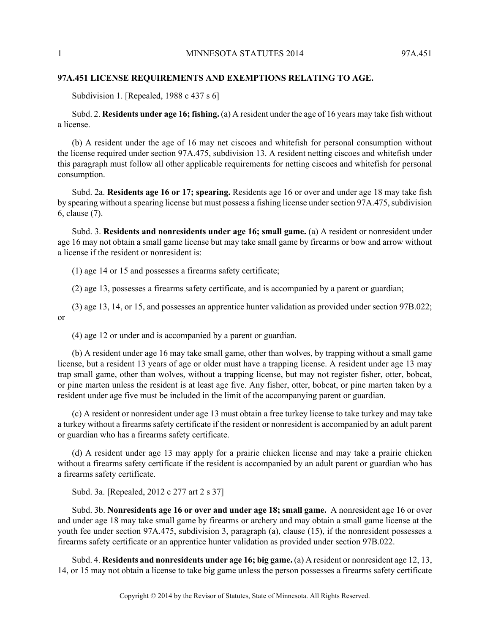## **97A.451 LICENSE REQUIREMENTS AND EXEMPTIONS RELATING TO AGE.**

Subdivision 1. [Repealed, 1988 c 437 s 6]

Subd. 2. **Residents under age 16; fishing.** (a) A resident under the age of 16 years may take fish without a license.

(b) A resident under the age of 16 may net ciscoes and whitefish for personal consumption without the license required under section 97A.475, subdivision 13. A resident netting ciscoes and whitefish under this paragraph must follow all other applicable requirements for netting ciscoes and whitefish for personal consumption.

Subd. 2a. **Residents age 16 or 17; spearing.** Residents age 16 or over and under age 18 may take fish by spearing without a spearing license but must possess a fishing license under section 97A.475, subdivision 6, clause (7).

Subd. 3. **Residents and nonresidents under age 16; small game.** (a) A resident or nonresident under age 16 may not obtain a small game license but may take small game by firearms or bow and arrow without a license if the resident or nonresident is:

(1) age 14 or 15 and possesses a firearms safety certificate;

(2) age 13, possesses a firearms safety certificate, and is accompanied by a parent or guardian;

(3) age 13, 14, or 15, and possesses an apprentice hunter validation as provided under section 97B.022; or

(4) age 12 or under and is accompanied by a parent or guardian.

(b) A resident under age 16 may take small game, other than wolves, by trapping without a small game license, but a resident 13 years of age or older must have a trapping license. A resident under age 13 may trap small game, other than wolves, without a trapping license, but may not register fisher, otter, bobcat, or pine marten unless the resident is at least age five. Any fisher, otter, bobcat, or pine marten taken by a resident under age five must be included in the limit of the accompanying parent or guardian.

(c) A resident or nonresident under age 13 must obtain a free turkey license to take turkey and may take a turkey without a firearms safety certificate if the resident or nonresident is accompanied by an adult parent or guardian who has a firearms safety certificate.

(d) A resident under age 13 may apply for a prairie chicken license and may take a prairie chicken without a firearms safety certificate if the resident is accompanied by an adult parent or guardian who has a firearms safety certificate.

Subd. 3a. [Repealed, 2012 c 277 art 2 s 37]

Subd. 3b. **Nonresidents age 16 or over and under age 18; small game.** A nonresident age 16 or over and under age 18 may take small game by firearms or archery and may obtain a small game license at the youth fee under section 97A.475, subdivision 3, paragraph (a), clause (15), if the nonresident possesses a firearms safety certificate or an apprentice hunter validation as provided under section 97B.022.

Subd. 4. **Residents and nonresidents under age 16; big game.** (a) A resident or nonresident age 12, 13, 14, or 15 may not obtain a license to take big game unless the person possesses a firearms safety certificate